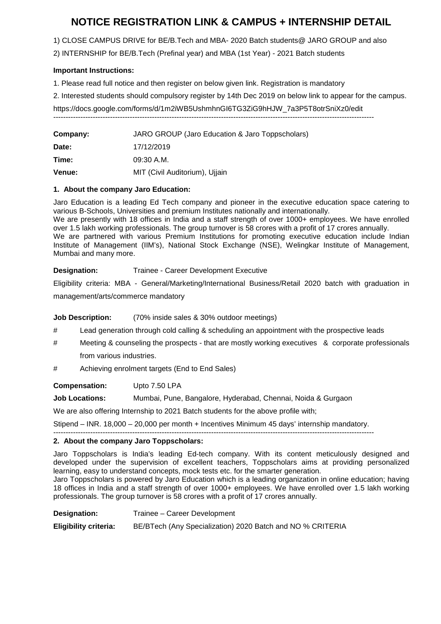# **NOTICE REGISTRATION LINK & CAMPUS + INTERNSHIP DETAIL**

1) CLOSE CAMPUS DRIVE for BE/B.Tech and MBA- 2020 Batch students@ JARO GROUP and also

2) INTERNSHIP for BE/B.Tech (Prefinal year) and MBA (1st Year) - 2021 Batch students

### **Important Instructions:**

1. Please read full notice and then register on below given link. Registration is mandatory

2. Interested students should compulsory register by 14th Dec 2019 on below link to appear for the campus.

https://docs.google.com/forms/d/1m2iWB5UshmhnGI6TG3ZiG9hHJW\_7a3P5T8otrSniXz0/edit

----------------------------------------------------------------------------------------------------------------------------------

| Company: | JARO GROUP (Jaro Education & Jaro Toppscholars) |
|----------|-------------------------------------------------|
| Date:    | 17/12/2019                                      |
| Time:    | 09:30 A.M.                                      |
| Venue:   | MIT (Civil Auditorium), Ujjain                  |

### **1. About the company Jaro Education:**

Jaro Education is a leading Ed Tech company and pioneer in the executive education space catering to various B-Schools, Universities and premium Institutes nationally and internationally.

We are presently with 18 offices in India and a staff strength of over 1000+ employees. We have enrolled over 1.5 lakh working professionals. The group turnover is 58 crores with a profit of 17 crores annually. We are partnered with various Premium Institutions for promoting executive education include Indian Institute of Management (IIM's), National Stock Exchange (NSE), Welingkar Institute of Management, Mumbai and many more.

### **Designation:** Trainee - Career Development Executive

Eligibility criteria: MBA - General/Marketing/International Business/Retail 2020 batch with graduation in management/arts/commerce mandatory

**Job Description:** (70% inside sales & 30% outdoor meetings)

- # Lead generation through cold calling & scheduling an appointment with the prospective leads
- # Meeting & counseling the prospects that are mostly working executives & corporate professionals from various industries.
- # Achieving enrolment targets (End to End Sales)

**Compensation:** Upto 7.50 LPA

**Job Locations:** Mumbai, Pune, Bangalore, Hyderabad, Chennai, Noida & Gurgaon

We are also offering Internship to 2021 Batch students for the above profile with;

Stipend – INR. 18,000 – 20,000 per month + Incentives Minimum 45 days' internship mandatory.

# ----------------------------------------------------------------------------------------------------------------------------------

## **2. About the company Jaro Toppscholars:**

Jaro Toppscholars is India's leading Ed-tech company. With its content meticulously designed and developed under the supervision of excellent teachers, Toppscholars aims at providing personalized learning, easy to understand concepts, mock tests etc. for the smarter generation.

Jaro Toppscholars is powered by Jaro Education which is a leading organization in online education; having 18 offices in India and a staff strength of over 1000+ employees. We have enrolled over 1.5 lakh working professionals. The group turnover is 58 crores with a profit of 17 crores annually.

**Designation:** Trainee – Career Development

**Eligibility criteria:** BE/BTech (Any Specialization) 2020 Batch and NO % CRITERIA